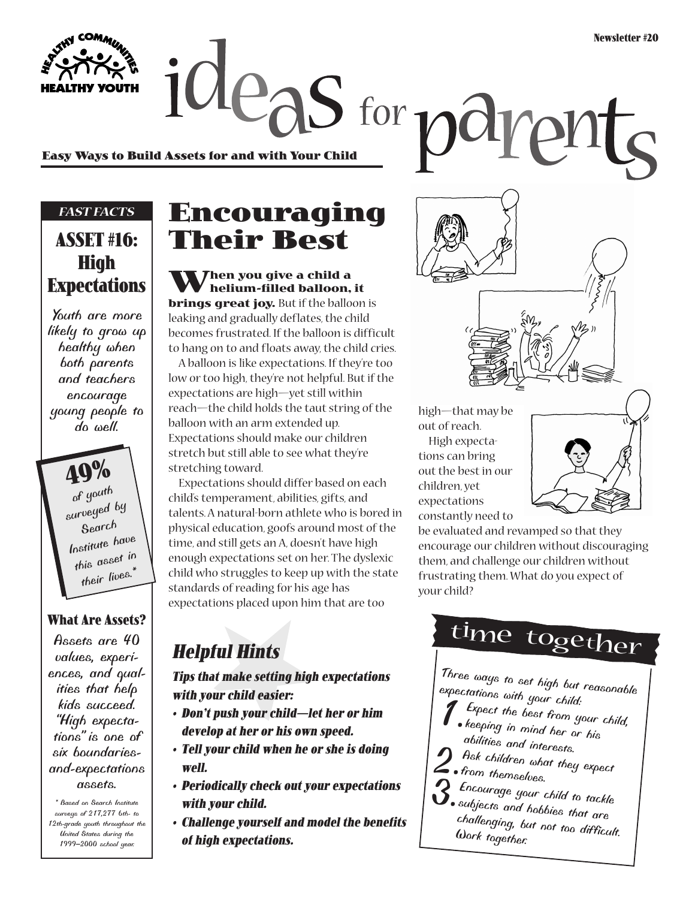rent

**Easy Ways to Build Assets for and with Your Child**

### *FAST FACTS*

**YOUTH** 

### **ASSET #16: High Expectations**

*Youth are more likely to grow up healthy when both parents and teachers encourage young people to do well.*

> **49%** *of youth surveyed by Search Institute have this asset in their lives.\**

### **What Are Assets?**

*Assets are 40 values, experiences, and qualities that help kids succeed. "High expectations" is one of six boundariesand-expectations assets.*

*\* Based on Search Institute surveys of 217,277 6th- to 12th-grade youth throughout the United States during the 1999–2000 school year.*

## **Encouraging Their Best**

 $\alpha$  deas for  $p$  and

**When you give a child a helium-filled balloon, it brings great joy.** But if the balloon is leaking and gradually deflates, the child becomes frustrated. If the balloon is difficult to hang on to and floats away, the child cries.

A balloon is like expectations. If they're too low or too high, they're not helpful. But if the expectations are high—yet still within reach—the child holds the taut string of the balloon with an arm extended up. Expectations should make our children stretch but still able to see what they're stretching toward.

Expectations should differ based on each child's temperament, abilities, gifts, and talents. A natural-born athlete who is bored in physical education, goofs around most of the time, and still gets an A, doesn't have high enough expectations set on her. The dyslexic child who struggles to keep up with the state standards of reading for his age has expectations placed upon him that are too

**Helpful Hints**

**Tips that make setting high expectations with your child easier:**

- **Don't push your child—let her or him develop at her or his own speed.**
- **Tell your child when he or she is doing well.**
- **Periodically check out your expectations with your child.**
- **Challenge yourself and model the benefits of high expectations.**

high—that may be out of reach. High expectations can bring out the best in our children, yet expectations constantly need to



be evaluated and revamped so that they encourage our children without discouraging them, and challenge our children without frustrating them. What do you expect of your child?

time together

*Three ways to set high but reasonable expectations with your child:*

- *1.Expect the best from your child,*
- *keeping in mind her or his abilities and interests.*
- 
- *2.Ask children what they expect from themselves.*
- 
- *3.Encourage your child to tackle subjects and hobbies that are challenging, but not too difficult. Work together.*